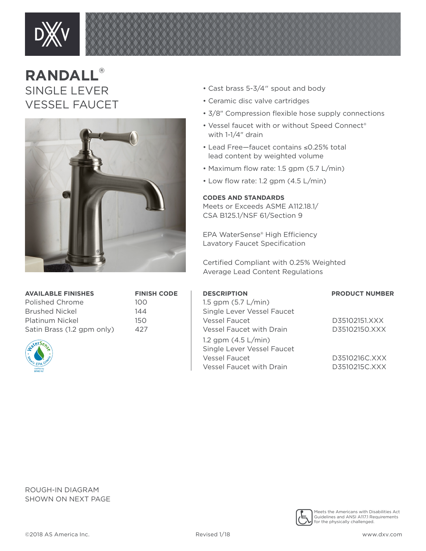

## **RANDALL**® SINGLE LEVER VESSEL FAUCET



**AVAILABLE FINISHES FINISH CODE**

Polished Chrome 100 Brushed Nickel 144 Platinum Nickel 150 Satin Brass (1.2 gpm only) 427



- Cast brass 5-3/4" spout and body
- Ceramic disc valve cartridges
- 3/8" Compression flexible hose supply connections
- Vessel faucet with or without Speed Connect® with 1-1/4" drain
- Lead Free—faucet contains ≤0.25% total lead content by weighted volume
- Maximum flow rate: 1.5 gpm (5.7 L/min)
- Low flow rate: 1.2 gpm (4.5 L/min)

## **CODES AND STANDARDS**

Meets or Exceeds ASME A112.18.1/ CSA B125.1/NSF 61/Section 9

EPA WaterSense® High Efficiency Lavatory Faucet Specification

Certified Compliant with 0.25% Weighted Average Lead Content Regulations

| <b>DESCRIPTION</b>              | <b>PRODUCT NUMBER</b> |
|---------------------------------|-----------------------|
| 1.5 gpm $(5.7 L/min)$           |                       |
| Single Lever Vessel Faucet      |                       |
| Vessel Faucet                   | D35102151.XXX         |
| Vessel Faucet with Drain        | D35102150.XXX         |
| 1.2 gpm $(4.5 L/min)$           |                       |
| Single Lever Vessel Faucet      |                       |
| Vessel Faucet                   | D3510216C.XXX         |
| <b>Vessel Faucet with Drain</b> | D3510215C.XXX         |

ROUGH-IN DIAGRAM SHOWN ON NEXT PAGE